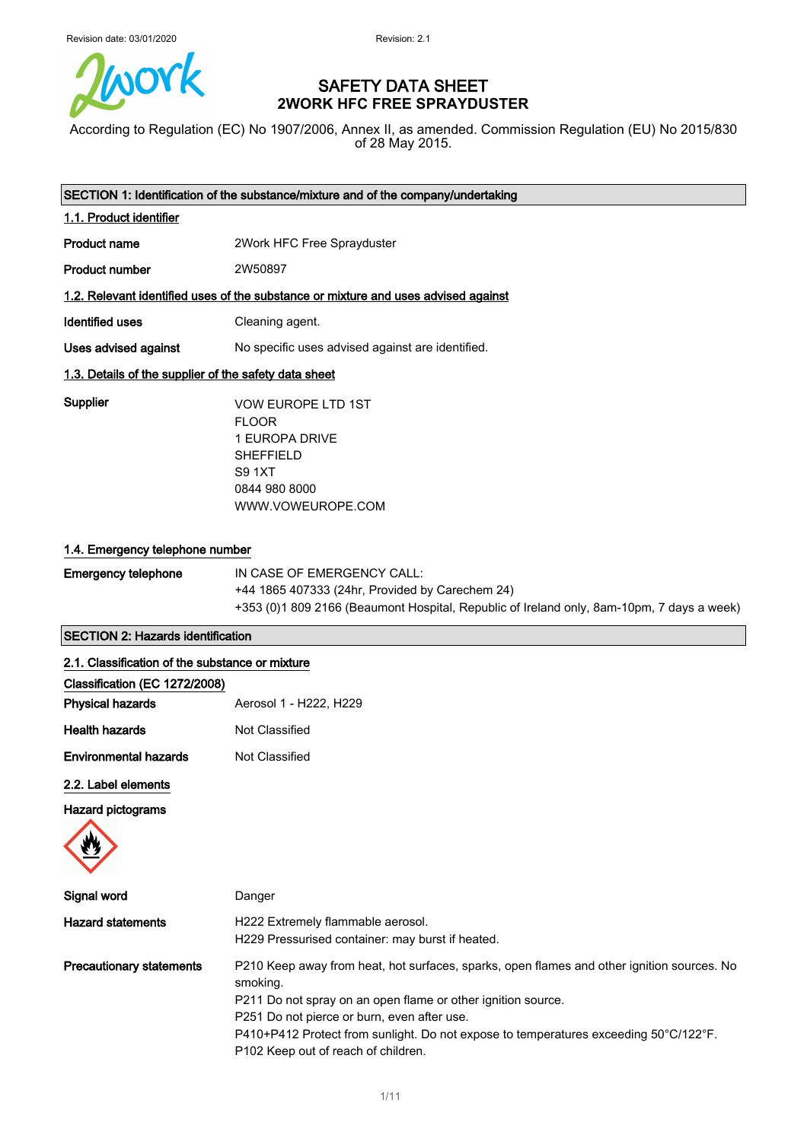

## SAFETY DATA SHEET **2WORK HFC FREE SPRAYDUSTER**

According to Regulation (EC) No 1907/2006, Annex II, as amended. Commission Regulation (EU) No 2015/830 of 28 May 2015.

| SECTION 1: Identification of the substance/mixture and of the company/undertaking |                                                                                                                                        |
|-----------------------------------------------------------------------------------|----------------------------------------------------------------------------------------------------------------------------------------|
| 1.1. Product identifier                                                           |                                                                                                                                        |
| Product name                                                                      | 2Work HFC Free Sprayduster                                                                                                             |
| <b>Product number</b>                                                             | 2W50897                                                                                                                                |
|                                                                                   | 1.2. Relevant identified uses of the substance or mixture and uses advised against                                                     |
| Identified uses                                                                   | Cleaning agent.                                                                                                                        |
| Uses advised against                                                              | No specific uses advised against are identified.                                                                                       |
| 1.3. Details of the supplier of the safety data sheet                             |                                                                                                                                        |
| Supplier                                                                          | <b>VOW EUROPE LTD 1ST</b><br><b>FLOOR</b><br>1 EUROPA DRIVE<br><b>SHEFFIELD</b><br><b>S9 1XT</b><br>0844 980 8000<br>WWW.VOWEUROPE.COM |

## 1.4. Emergency telephone number

| Emergency telephone | IN CASE OF EMERGENCY CALL:                                                                |
|---------------------|-------------------------------------------------------------------------------------------|
|                     | +44 1865 407333 (24hr, Provided by Carechem 24)                                           |
|                     | +353 (0)1 809 2166 (Beaumont Hospital, Republic of Ireland only, 8am-10pm, 7 days a week) |

## SECTION 2: Hazards identification

## 2.1. Classification of the substance or mixture

| Aerosol 1 - H222, H229 |
|------------------------|
| Not Classified         |
| Not Classified         |
|                        |

## 2.2. Label elements

## Hazard pictograms



| Signal word                     | Danger                                                                                                                                                                                                                                                                                                                                               |
|---------------------------------|------------------------------------------------------------------------------------------------------------------------------------------------------------------------------------------------------------------------------------------------------------------------------------------------------------------------------------------------------|
| <b>Hazard statements</b>        | H222 Extremely flammable aerosol.<br>H229 Pressurised container: may burst if heated.                                                                                                                                                                                                                                                                |
| <b>Precautionary statements</b> | P210 Keep away from heat, hot surfaces, sparks, open flames and other ignition sources. No<br>smoking.<br>P211 Do not spray on an open flame or other ignition source.<br>P251 Do not pierce or burn, even after use.<br>P410+P412 Protect from sunlight. Do not expose to temperatures exceeding 50°C/122°F.<br>P102 Keep out of reach of children. |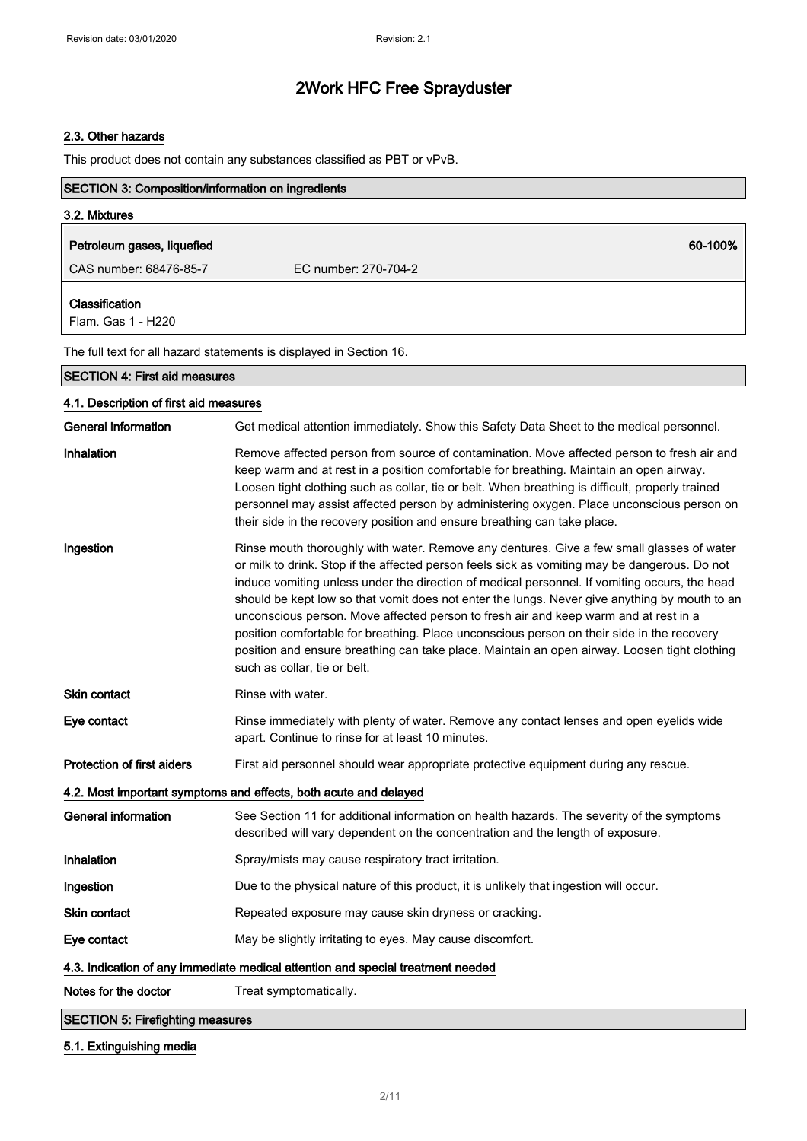## 2.3. Other hazards

This product does not contain any substances classified as PBT or vPvB.

| <b>SECTION 3: Composition/information on ingredients</b> |                                                                                                                                                                                                                                                                                                                                                                                                                                                                                                                                                                                                                                                                                                                    |
|----------------------------------------------------------|--------------------------------------------------------------------------------------------------------------------------------------------------------------------------------------------------------------------------------------------------------------------------------------------------------------------------------------------------------------------------------------------------------------------------------------------------------------------------------------------------------------------------------------------------------------------------------------------------------------------------------------------------------------------------------------------------------------------|
| 3.2. Mixtures                                            |                                                                                                                                                                                                                                                                                                                                                                                                                                                                                                                                                                                                                                                                                                                    |
| Petroleum gases, liquefied                               | 60-100%                                                                                                                                                                                                                                                                                                                                                                                                                                                                                                                                                                                                                                                                                                            |
| CAS number: 68476-85-7                                   | EC number: 270-704-2                                                                                                                                                                                                                                                                                                                                                                                                                                                                                                                                                                                                                                                                                               |
|                                                          |                                                                                                                                                                                                                                                                                                                                                                                                                                                                                                                                                                                                                                                                                                                    |
| Classification<br>Flam. Gas 1 - H220                     |                                                                                                                                                                                                                                                                                                                                                                                                                                                                                                                                                                                                                                                                                                                    |
|                                                          | The full text for all hazard statements is displayed in Section 16.                                                                                                                                                                                                                                                                                                                                                                                                                                                                                                                                                                                                                                                |
| <b>SECTION 4: First aid measures</b>                     |                                                                                                                                                                                                                                                                                                                                                                                                                                                                                                                                                                                                                                                                                                                    |
| 4.1. Description of first aid measures                   |                                                                                                                                                                                                                                                                                                                                                                                                                                                                                                                                                                                                                                                                                                                    |
| <b>General information</b>                               | Get medical attention immediately. Show this Safety Data Sheet to the medical personnel.                                                                                                                                                                                                                                                                                                                                                                                                                                                                                                                                                                                                                           |
| Inhalation                                               | Remove affected person from source of contamination. Move affected person to fresh air and<br>keep warm and at rest in a position comfortable for breathing. Maintain an open airway.<br>Loosen tight clothing such as collar, tie or belt. When breathing is difficult, properly trained<br>personnel may assist affected person by administering oxygen. Place unconscious person on<br>their side in the recovery position and ensure breathing can take place.                                                                                                                                                                                                                                                 |
| Ingestion                                                | Rinse mouth thoroughly with water. Remove any dentures. Give a few small glasses of water<br>or milk to drink. Stop if the affected person feels sick as vomiting may be dangerous. Do not<br>induce vomiting unless under the direction of medical personnel. If vomiting occurs, the head<br>should be kept low so that vomit does not enter the lungs. Never give anything by mouth to an<br>unconscious person. Move affected person to fresh air and keep warm and at rest in a<br>position comfortable for breathing. Place unconscious person on their side in the recovery<br>position and ensure breathing can take place. Maintain an open airway. Loosen tight clothing<br>such as collar, tie or belt. |
| <b>Skin contact</b>                                      | Rinse with water.                                                                                                                                                                                                                                                                                                                                                                                                                                                                                                                                                                                                                                                                                                  |
| Eye contact                                              | Rinse immediately with plenty of water. Remove any contact lenses and open eyelids wide<br>apart. Continue to rinse for at least 10 minutes.                                                                                                                                                                                                                                                                                                                                                                                                                                                                                                                                                                       |
| Protection of first aiders                               | First aid personnel should wear appropriate protective equipment during any rescue.                                                                                                                                                                                                                                                                                                                                                                                                                                                                                                                                                                                                                                |
|                                                          | 4.2. Most important symptoms and effects, both acute and delayed                                                                                                                                                                                                                                                                                                                                                                                                                                                                                                                                                                                                                                                   |
| <b>General information</b>                               | See Section 11 for additional information on health hazards. The severity of the symptoms<br>described will vary dependent on the concentration and the length of exposure.                                                                                                                                                                                                                                                                                                                                                                                                                                                                                                                                        |
| Inhalation                                               | Spray/mists may cause respiratory tract irritation.                                                                                                                                                                                                                                                                                                                                                                                                                                                                                                                                                                                                                                                                |
| Ingestion                                                | Due to the physical nature of this product, it is unlikely that ingestion will occur.                                                                                                                                                                                                                                                                                                                                                                                                                                                                                                                                                                                                                              |
| Skin contact                                             | Repeated exposure may cause skin dryness or cracking.                                                                                                                                                                                                                                                                                                                                                                                                                                                                                                                                                                                                                                                              |
| Eye contact                                              | May be slightly irritating to eyes. May cause discomfort.                                                                                                                                                                                                                                                                                                                                                                                                                                                                                                                                                                                                                                                          |
|                                                          | 4.3. Indication of any immediate medical attention and special treatment needed                                                                                                                                                                                                                                                                                                                                                                                                                                                                                                                                                                                                                                    |
| Notes for the doctor                                     | Treat symptomatically.                                                                                                                                                                                                                                                                                                                                                                                                                                                                                                                                                                                                                                                                                             |
| <b>SECTION 5: Firefighting measures</b>                  |                                                                                                                                                                                                                                                                                                                                                                                                                                                                                                                                                                                                                                                                                                                    |

## 5.1. Extinguishing media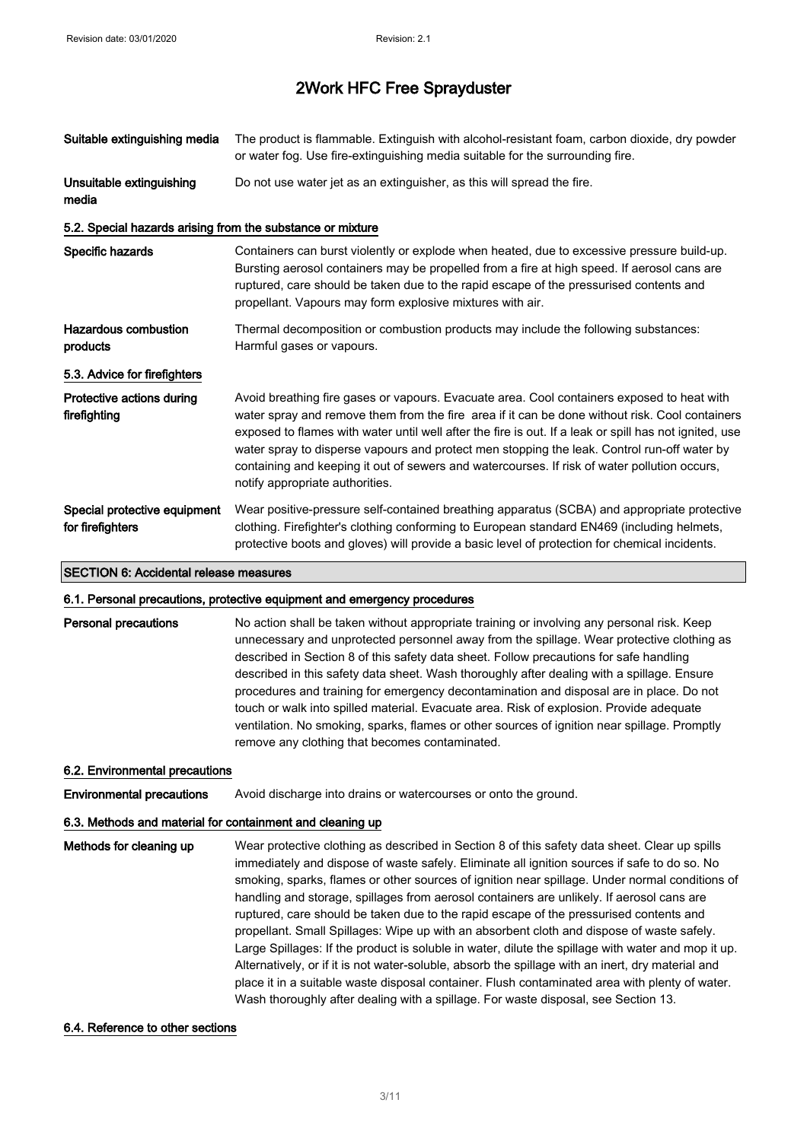| Suitable extinguishing media                               | The product is flammable. Extinguish with alcohol-resistant foam, carbon dioxide, dry powder<br>or water fog. Use fire-extinguishing media suitable for the surrounding fire.                                                                                                                                                                                                                                                                                                                                                            |
|------------------------------------------------------------|------------------------------------------------------------------------------------------------------------------------------------------------------------------------------------------------------------------------------------------------------------------------------------------------------------------------------------------------------------------------------------------------------------------------------------------------------------------------------------------------------------------------------------------|
| Unsuitable extinguishing<br>media                          | Do not use water jet as an extinguisher, as this will spread the fire.                                                                                                                                                                                                                                                                                                                                                                                                                                                                   |
| 5.2. Special hazards arising from the substance or mixture |                                                                                                                                                                                                                                                                                                                                                                                                                                                                                                                                          |
| Specific hazards                                           | Containers can burst violently or explode when heated, due to excessive pressure build-up.<br>Bursting aerosol containers may be propelled from a fire at high speed. If aerosol cans are<br>ruptured, care should be taken due to the rapid escape of the pressurised contents and<br>propellant. Vapours may form explosive mixtures with air.                                                                                                                                                                                         |
| <b>Hazardous combustion</b><br>products                    | Thermal decomposition or combustion products may include the following substances:<br>Harmful gases or vapours.                                                                                                                                                                                                                                                                                                                                                                                                                          |
| 5.3. Advice for firefighters                               |                                                                                                                                                                                                                                                                                                                                                                                                                                                                                                                                          |
| Protective actions during<br>firefighting                  | Avoid breathing fire gases or vapours. Evacuate area. Cool containers exposed to heat with<br>water spray and remove them from the fire area if it can be done without risk. Cool containers<br>exposed to flames with water until well after the fire is out. If a leak or spill has not ignited, use<br>water spray to disperse vapours and protect men stopping the leak. Control run-off water by<br>containing and keeping it out of sewers and watercourses. If risk of water pollution occurs,<br>notify appropriate authorities. |
| Special protective equipment<br>for firefighters           | Wear positive-pressure self-contained breathing apparatus (SCBA) and appropriate protective<br>clothing. Firefighter's clothing conforming to European standard EN469 (including helmets,<br>protective boots and gloves) will provide a basic level of protection for chemical incidents.                                                                                                                                                                                                                                               |

#### SECTION 6: Accidental release measures

#### 6.1. Personal precautions, protective equipment and emergency procedures

**Personal precautions** No action shall be taken without appropriate training or involving any personal risk. Keep unnecessary and unprotected personnel away from the spillage. Wear protective clothing as described in Section 8 of this safety data sheet. Follow precautions for safe handling described in this safety data sheet. Wash thoroughly after dealing with a spillage. Ensure procedures and training for emergency decontamination and disposal are in place. Do not touch or walk into spilled material. Evacuate area. Risk of explosion. Provide adequate ventilation. No smoking, sparks, flames or other sources of ignition near spillage. Promptly remove any clothing that becomes contaminated.

#### 6.2. Environmental precautions

**Environmental precautions** Avoid discharge into drains or watercourses or onto the ground.

#### 6.3. Methods and material for containment and cleaning up

Methods for cleaning up Wear protective clothing as described in Section 8 of this safety data sheet. Clear up spills immediately and dispose of waste safely. Eliminate all ignition sources if safe to do so. No smoking, sparks, flames or other sources of ignition near spillage. Under normal conditions of handling and storage, spillages from aerosol containers are unlikely. If aerosol cans are ruptured, care should be taken due to the rapid escape of the pressurised contents and propellant. Small Spillages: Wipe up with an absorbent cloth and dispose of waste safely. Large Spillages: If the product is soluble in water, dilute the spillage with water and mop it up. Alternatively, or if it is not water-soluble, absorb the spillage with an inert, dry material and place it in a suitable waste disposal container. Flush contaminated area with plenty of water. Wash thoroughly after dealing with a spillage. For waste disposal, see Section 13.

#### 6.4. Reference to other sections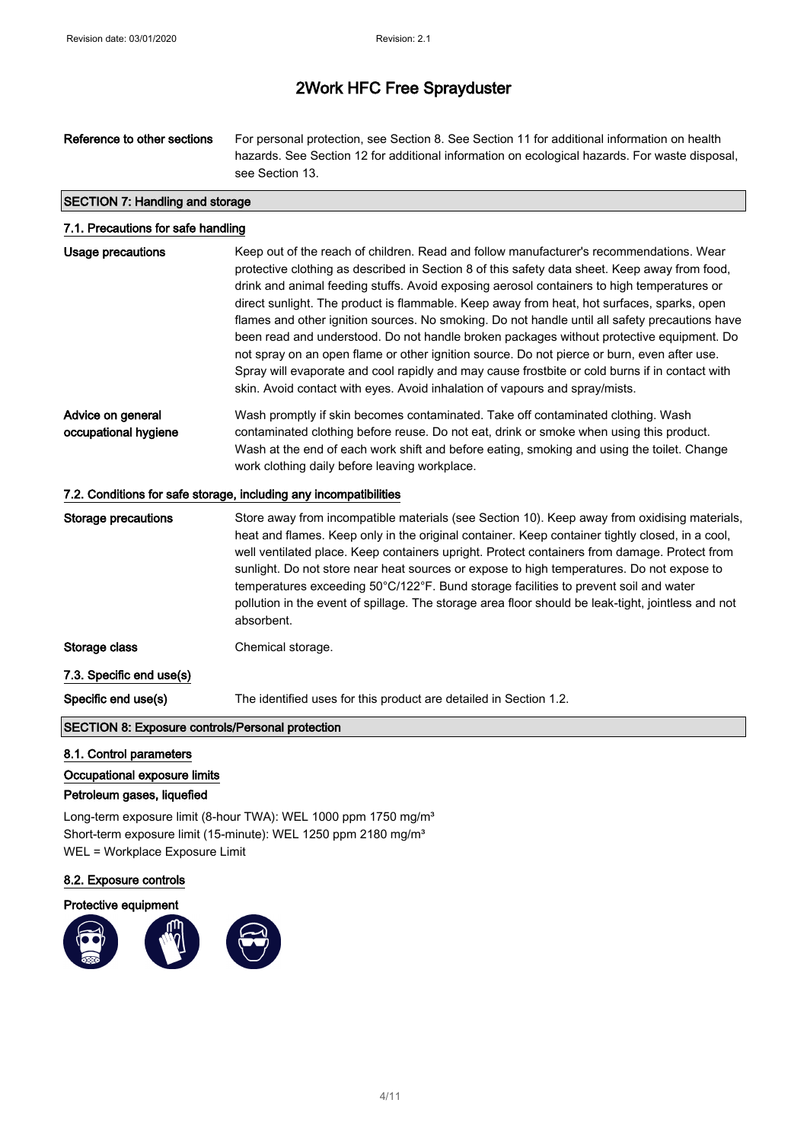Reference to other sections For personal protection, see Section 8. See Section 11 for additional information on health hazards. See Section 12 for additional information on ecological hazards. For waste disposal, see Section 13.

## SECTION 7: Handling and storage

| 7.1. Precautions for safe handling        |                                                                                                                                                                                                                                                                                                                                                                                                                                                                                                                                                                                                                                                                                                                                                                                                                                                                    |
|-------------------------------------------|--------------------------------------------------------------------------------------------------------------------------------------------------------------------------------------------------------------------------------------------------------------------------------------------------------------------------------------------------------------------------------------------------------------------------------------------------------------------------------------------------------------------------------------------------------------------------------------------------------------------------------------------------------------------------------------------------------------------------------------------------------------------------------------------------------------------------------------------------------------------|
| <b>Usage precautions</b>                  | Keep out of the reach of children. Read and follow manufacturer's recommendations. Wear<br>protective clothing as described in Section 8 of this safety data sheet. Keep away from food,<br>drink and animal feeding stuffs. Avoid exposing aerosol containers to high temperatures or<br>direct sunlight. The product is flammable. Keep away from heat, hot surfaces, sparks, open<br>flames and other ignition sources. No smoking. Do not handle until all safety precautions have<br>been read and understood. Do not handle broken packages without protective equipment. Do<br>not spray on an open flame or other ignition source. Do not pierce or burn, even after use.<br>Spray will evaporate and cool rapidly and may cause frostbite or cold burns if in contact with<br>skin. Avoid contact with eyes. Avoid inhalation of vapours and spray/mists. |
| Advice on general<br>occupational hygiene | Wash promptly if skin becomes contaminated. Take off contaminated clothing. Wash<br>contaminated clothing before reuse. Do not eat, drink or smoke when using this product.<br>Wash at the end of each work shift and before eating, smoking and using the toilet. Change<br>work clothing daily before leaving workplace.                                                                                                                                                                                                                                                                                                                                                                                                                                                                                                                                         |
|                                           | 7.2. Conditions for safe storage, including any incompatibilities                                                                                                                                                                                                                                                                                                                                                                                                                                                                                                                                                                                                                                                                                                                                                                                                  |
| <b>Storage precautions</b>                | Store away from incompatible materials (see Section 10). Keep away from oxidising materials,<br>heat and flames. Keep only in the original container. Keep container tightly closed, in a cool,<br>well ventilated place. Keep containers upright. Protect containers from damage. Protect from<br>sunlight. Do not store near heat sources or expose to high temperatures. Do not expose to<br>temperatures exceeding 50°C/122°F. Bund storage facilities to prevent soil and water<br>pollution in the event of spillage. The storage area floor should be leak-tight, jointless and not<br>absorbent.                                                                                                                                                                                                                                                           |
| Storage class                             | Chemical storage.                                                                                                                                                                                                                                                                                                                                                                                                                                                                                                                                                                                                                                                                                                                                                                                                                                                  |

7.3. Specific end use(s)

Specific end use(s) The identified uses for this product are detailed in Section 1.2.

## SECTION 8: Exposure controls/Personal protection

8.1. Control parameters

Occupational exposure limits

Petroleum gases, liquefied

Long-term exposure limit (8-hour TWA): WEL 1000 ppm 1750 mg/m<sup>3</sup> Short-term exposure limit (15-minute): WEL 1250 ppm 2180 mg/m<sup>3</sup> WEL = Workplace Exposure Limit

8.2. Exposure controls

#### Protective equipment

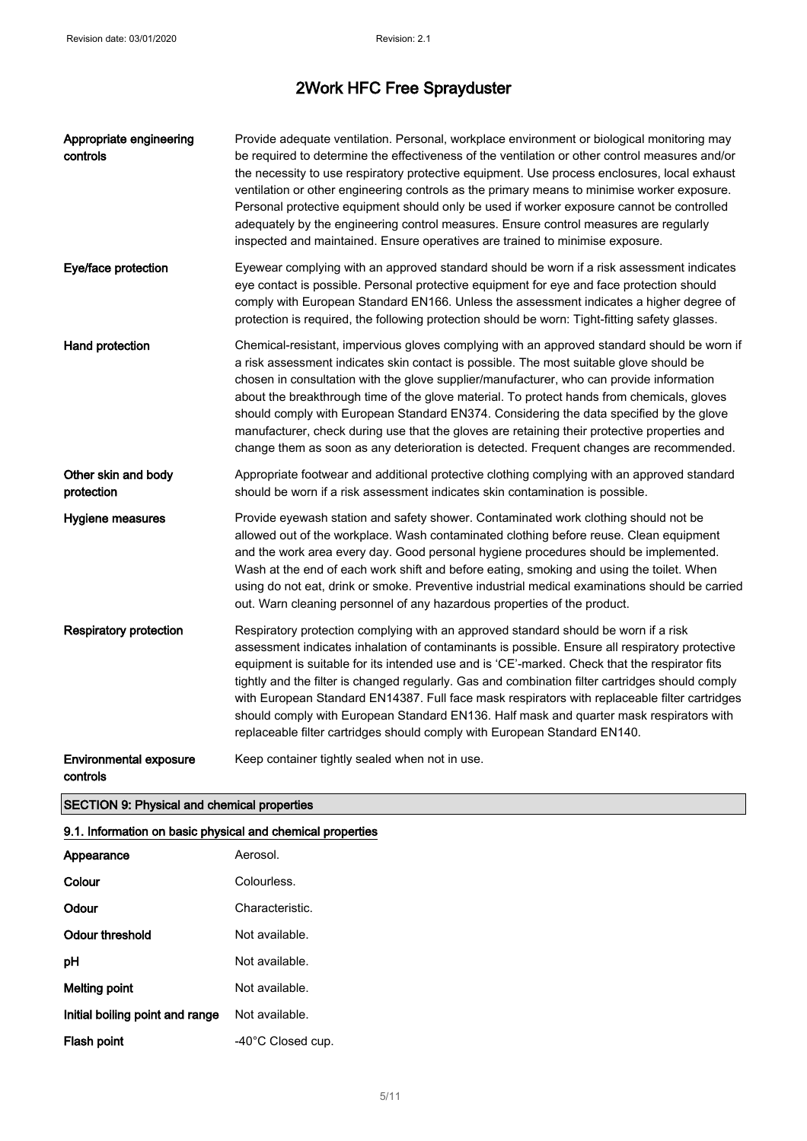| Appropriate engineering<br>controls       | Provide adequate ventilation. Personal, workplace environment or biological monitoring may<br>be required to determine the effectiveness of the ventilation or other control measures and/or<br>the necessity to use respiratory protective equipment. Use process enclosures, local exhaust<br>ventilation or other engineering controls as the primary means to minimise worker exposure.<br>Personal protective equipment should only be used if worker exposure cannot be controlled<br>adequately by the engineering control measures. Ensure control measures are regularly<br>inspected and maintained. Ensure operatives are trained to minimise exposure.     |
|-------------------------------------------|------------------------------------------------------------------------------------------------------------------------------------------------------------------------------------------------------------------------------------------------------------------------------------------------------------------------------------------------------------------------------------------------------------------------------------------------------------------------------------------------------------------------------------------------------------------------------------------------------------------------------------------------------------------------|
| Eye/face protection                       | Eyewear complying with an approved standard should be worn if a risk assessment indicates<br>eye contact is possible. Personal protective equipment for eye and face protection should<br>comply with European Standard EN166. Unless the assessment indicates a higher degree of<br>protection is required, the following protection should be worn: Tight-fitting safety glasses.                                                                                                                                                                                                                                                                                    |
| Hand protection                           | Chemical-resistant, impervious gloves complying with an approved standard should be worn if<br>a risk assessment indicates skin contact is possible. The most suitable glove should be<br>chosen in consultation with the glove supplier/manufacturer, who can provide information<br>about the breakthrough time of the glove material. To protect hands from chemicals, gloves<br>should comply with European Standard EN374. Considering the data specified by the glove<br>manufacturer, check during use that the gloves are retaining their protective properties and<br>change them as soon as any deterioration is detected. Frequent changes are recommended. |
| Other skin and body<br>protection         | Appropriate footwear and additional protective clothing complying with an approved standard<br>should be worn if a risk assessment indicates skin contamination is possible.                                                                                                                                                                                                                                                                                                                                                                                                                                                                                           |
| Hygiene measures                          | Provide eyewash station and safety shower. Contaminated work clothing should not be<br>allowed out of the workplace. Wash contaminated clothing before reuse. Clean equipment<br>and the work area every day. Good personal hygiene procedures should be implemented.<br>Wash at the end of each work shift and before eating, smoking and using the toilet. When<br>using do not eat, drink or smoke. Preventive industrial medical examinations should be carried<br>out. Warn cleaning personnel of any hazardous properties of the product.                                                                                                                        |
| <b>Respiratory protection</b>             | Respiratory protection complying with an approved standard should be worn if a risk<br>assessment indicates inhalation of contaminants is possible. Ensure all respiratory protective<br>equipment is suitable for its intended use and is 'CE'-marked. Check that the respirator fits<br>tightly and the filter is changed regularly. Gas and combination filter cartridges should comply<br>with European Standard EN14387. Full face mask respirators with replaceable filter cartridges<br>should comply with European Standard EN136. Half mask and quarter mask respirators with<br>replaceable filter cartridges should comply with European Standard EN140.    |
| <b>Environmental exposure</b><br>controls | Keep container tightly sealed when not in use.                                                                                                                                                                                                                                                                                                                                                                                                                                                                                                                                                                                                                         |

## SECTION 9: Physical and chemical properties

## 9.1. Information on basic physical and chemical properties

| Appearance                      | Aerosol.          |
|---------------------------------|-------------------|
| Colour                          | Colourless.       |
| Odour                           | Characteristic.   |
| Odour threshold                 | Not available.    |
| рH                              | Not available.    |
| Melting point                   | Not available.    |
| Initial boiling point and range | Not available.    |
| Flash point                     | -40°C Closed cup. |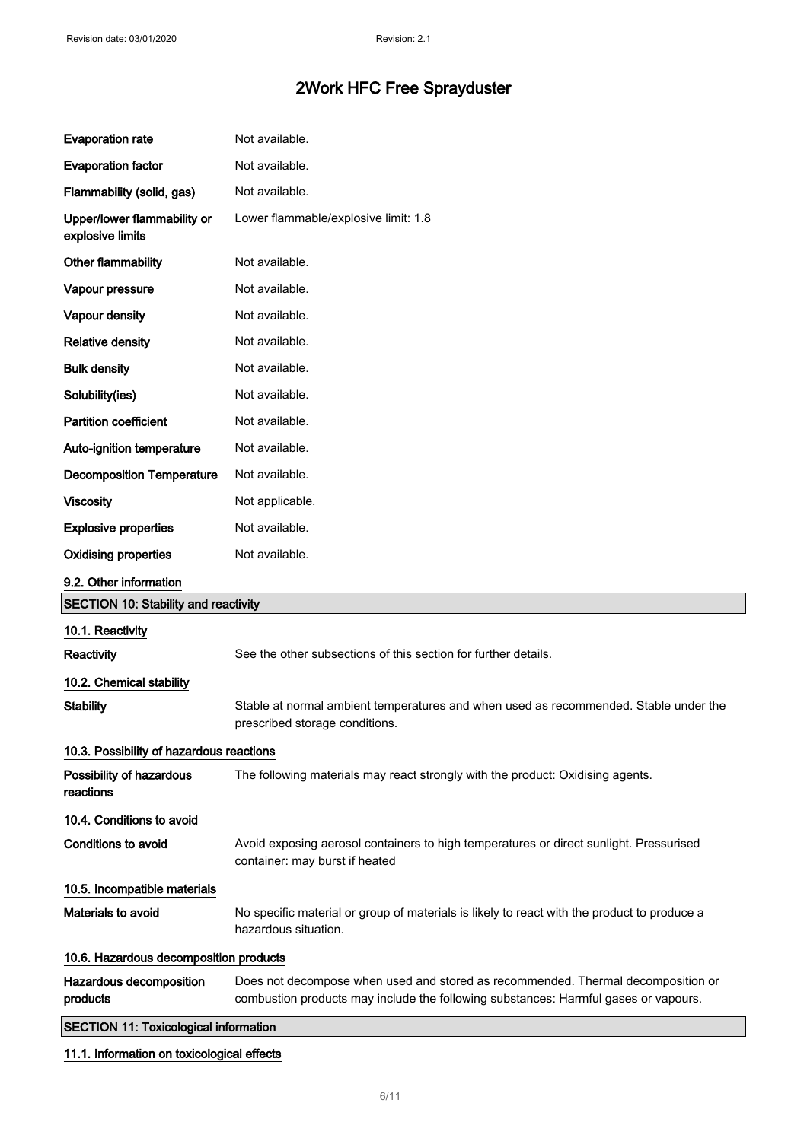| <b>Evaporation rate</b>                         | Not available.                                                                                                                                                          |
|-------------------------------------------------|-------------------------------------------------------------------------------------------------------------------------------------------------------------------------|
| <b>Evaporation factor</b>                       | Not available.                                                                                                                                                          |
| Flammability (solid, gas)                       | Not available.                                                                                                                                                          |
| Upper/lower flammability or<br>explosive limits | Lower flammable/explosive limit: 1.8                                                                                                                                    |
| Other flammability                              | Not available.                                                                                                                                                          |
| Vapour pressure                                 | Not available.                                                                                                                                                          |
| Vapour density                                  | Not available.                                                                                                                                                          |
| <b>Relative density</b>                         | Not available.                                                                                                                                                          |
| <b>Bulk density</b>                             | Not available.                                                                                                                                                          |
| Solubility(ies)                                 | Not available.                                                                                                                                                          |
| <b>Partition coefficient</b>                    | Not available.                                                                                                                                                          |
| Auto-ignition temperature                       | Not available.                                                                                                                                                          |
| <b>Decomposition Temperature</b>                | Not available.                                                                                                                                                          |
| <b>Viscosity</b>                                | Not applicable.                                                                                                                                                         |
| <b>Explosive properties</b>                     | Not available.                                                                                                                                                          |
| <b>Oxidising properties</b>                     | Not available.                                                                                                                                                          |
| 9.2. Other information                          |                                                                                                                                                                         |
| <b>SECTION 10: Stability and reactivity</b>     |                                                                                                                                                                         |
|                                                 |                                                                                                                                                                         |
| 10.1. Reactivity                                |                                                                                                                                                                         |
| Reactivity                                      | See the other subsections of this section for further details.                                                                                                          |
| 10.2. Chemical stability                        |                                                                                                                                                                         |
| <b>Stability</b>                                | Stable at normal ambient temperatures and when used as recommended. Stable under the<br>prescribed storage conditions.                                                  |
| 10.3. Possibility of hazardous reactions        |                                                                                                                                                                         |
| Possibility of hazardous<br>reactions           | The following materials may react strongly with the product: Oxidising agents.                                                                                          |
| 10.4. Conditions to avoid                       |                                                                                                                                                                         |
| <b>Conditions to avoid</b>                      | Avoid exposing aerosol containers to high temperatures or direct sunlight. Pressurised<br>container: may burst if heated                                                |
| 10.5. Incompatible materials                    |                                                                                                                                                                         |
| Materials to avoid                              | No specific material or group of materials is likely to react with the product to produce a<br>hazardous situation.                                                     |
| 10.6. Hazardous decomposition products          |                                                                                                                                                                         |
| Hazardous decomposition<br>products             | Does not decompose when used and stored as recommended. Thermal decomposition or<br>combustion products may include the following substances: Harmful gases or vapours. |
|                                                 |                                                                                                                                                                         |
| <b>SECTION 11: Toxicological information</b>    |                                                                                                                                                                         |

## 11.1. Information on toxicological effects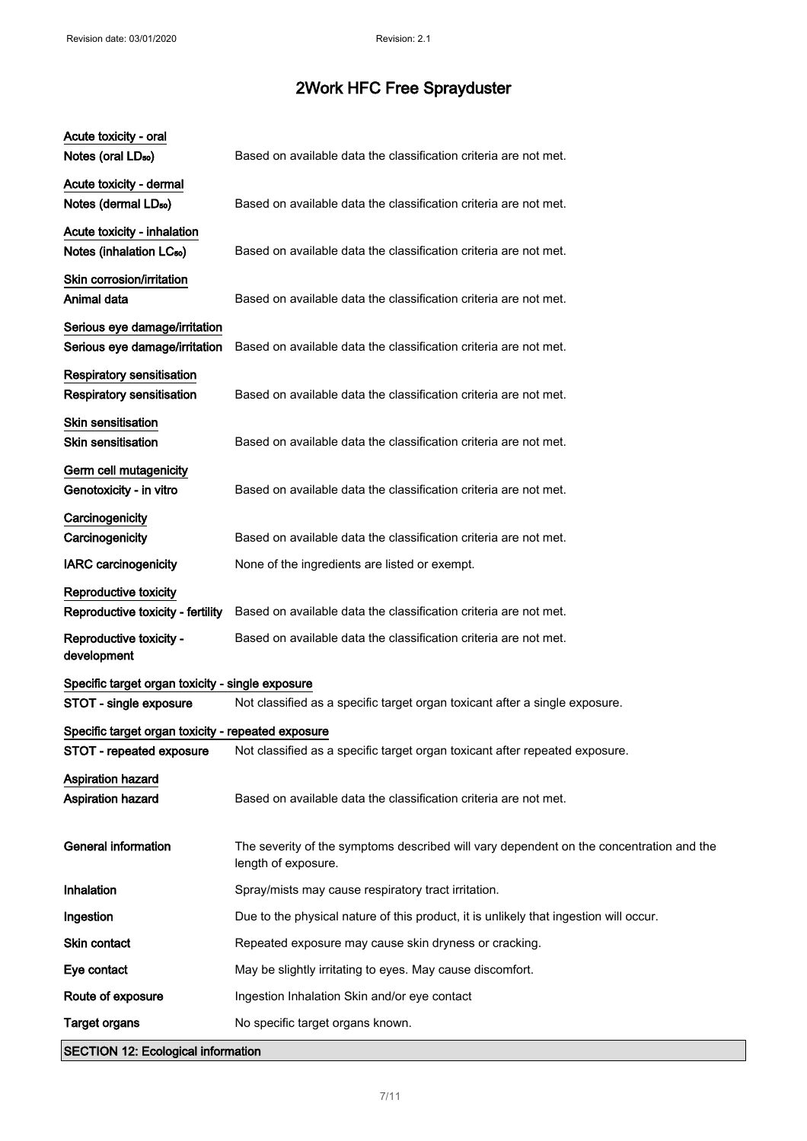| Acute toxicity - oral<br>Notes (oral LD <sub>50</sub> )             | Based on available data the classification criteria are not met.                                               |
|---------------------------------------------------------------------|----------------------------------------------------------------------------------------------------------------|
| Acute toxicity - dermal<br>Notes (dermal LD <sub>50</sub> )         | Based on available data the classification criteria are not met.                                               |
| Acute toxicity - inhalation<br>Notes (inhalation LC <sub>50</sub> ) | Based on available data the classification criteria are not met.                                               |
| Skin corrosion/irritation<br>Animal data                            | Based on available data the classification criteria are not met.                                               |
| Serious eye damage/irritation<br>Serious eye damage/irritation      | Based on available data the classification criteria are not met.                                               |
| <b>Respiratory sensitisation</b><br>Respiratory sensitisation       | Based on available data the classification criteria are not met.                                               |
| Skin sensitisation<br>Skin sensitisation                            | Based on available data the classification criteria are not met.                                               |
| Germ cell mutagenicity<br>Genotoxicity - in vitro                   | Based on available data the classification criteria are not met.                                               |
| Carcinogenicity<br>Carcinogenicity                                  | Based on available data the classification criteria are not met.                                               |
| <b>IARC</b> carcinogenicity                                         | None of the ingredients are listed or exempt.                                                                  |
| Reproductive toxicity<br>Reproductive toxicity - fertility          | Based on available data the classification criteria are not met.                                               |
| Reproductive toxicity -<br>development                              | Based on available data the classification criteria are not met.                                               |
| Specific target organ toxicity - single exposure                    |                                                                                                                |
| STOT - single exposure                                              | Not classified as a specific target organ toxicant after a single exposure.                                    |
| Specific target organ toxicity - repeated exposure                  |                                                                                                                |
| STOT - repeated exposure                                            | Not classified as a specific target organ toxicant after repeated exposure.                                    |
| <b>Aspiration hazard</b><br>Aspiration hazard                       | Based on available data the classification criteria are not met.                                               |
| <b>General information</b>                                          | The severity of the symptoms described will vary dependent on the concentration and the<br>length of exposure. |
| Inhalation                                                          | Spray/mists may cause respiratory tract irritation.                                                            |
| Ingestion                                                           | Due to the physical nature of this product, it is unlikely that ingestion will occur.                          |
| Skin contact                                                        | Repeated exposure may cause skin dryness or cracking.                                                          |
| Eye contact                                                         | May be slightly irritating to eyes. May cause discomfort.                                                      |
| Route of exposure                                                   | Ingestion Inhalation Skin and/or eye contact                                                                   |
| <b>Target organs</b>                                                | No specific target organs known.                                                                               |
| <b>SECTION 12: Ecological information</b>                           |                                                                                                                |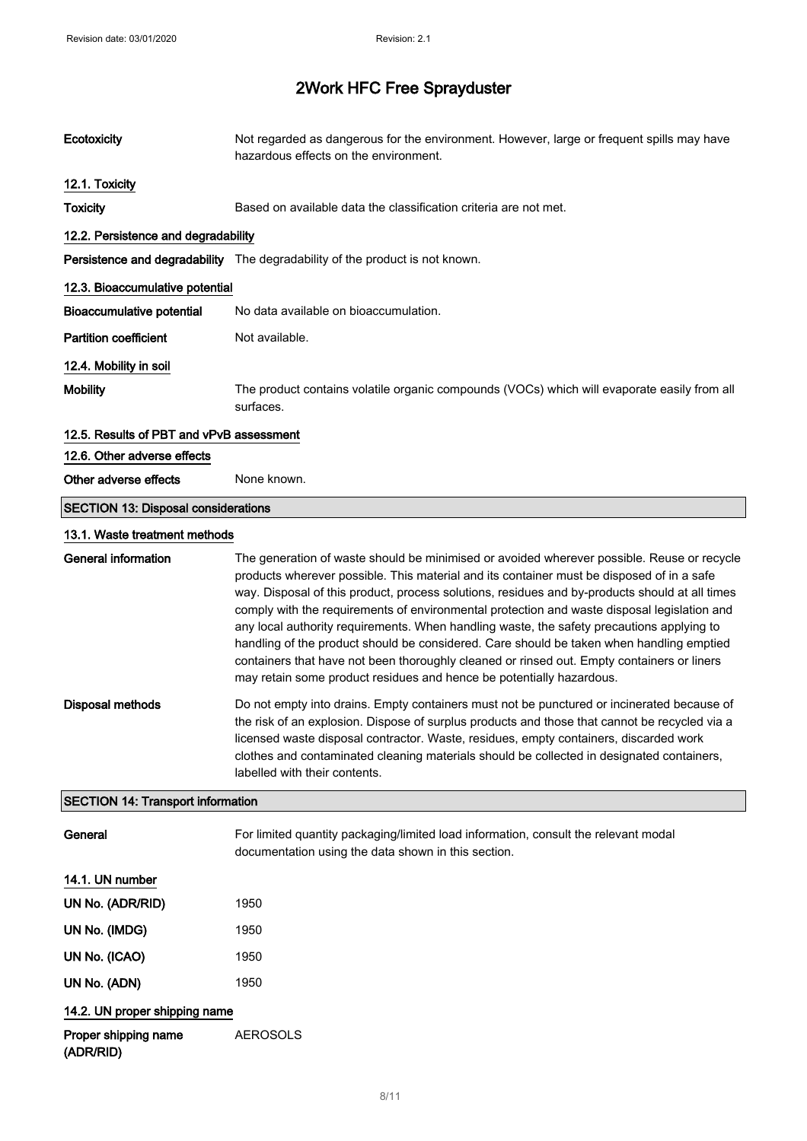| Ecotoxicity                                | Not regarded as dangerous for the environment. However, large or frequent spills may have<br>hazardous effects on the environment.                                                                                                                                                                                                                                                                                                                                                                                                                                                                                                                                                                                                                      |  |
|--------------------------------------------|---------------------------------------------------------------------------------------------------------------------------------------------------------------------------------------------------------------------------------------------------------------------------------------------------------------------------------------------------------------------------------------------------------------------------------------------------------------------------------------------------------------------------------------------------------------------------------------------------------------------------------------------------------------------------------------------------------------------------------------------------------|--|
| 12.1. Toxicity                             |                                                                                                                                                                                                                                                                                                                                                                                                                                                                                                                                                                                                                                                                                                                                                         |  |
| <b>Toxicity</b>                            | Based on available data the classification criteria are not met.                                                                                                                                                                                                                                                                                                                                                                                                                                                                                                                                                                                                                                                                                        |  |
| 12.2. Persistence and degradability        |                                                                                                                                                                                                                                                                                                                                                                                                                                                                                                                                                                                                                                                                                                                                                         |  |
|                                            | Persistence and degradability The degradability of the product is not known.                                                                                                                                                                                                                                                                                                                                                                                                                                                                                                                                                                                                                                                                            |  |
| 12.3. Bioaccumulative potential            |                                                                                                                                                                                                                                                                                                                                                                                                                                                                                                                                                                                                                                                                                                                                                         |  |
| <b>Bioaccumulative potential</b>           | No data available on bioaccumulation.                                                                                                                                                                                                                                                                                                                                                                                                                                                                                                                                                                                                                                                                                                                   |  |
| <b>Partition coefficient</b>               | Not available.                                                                                                                                                                                                                                                                                                                                                                                                                                                                                                                                                                                                                                                                                                                                          |  |
| 12.4. Mobility in soil                     |                                                                                                                                                                                                                                                                                                                                                                                                                                                                                                                                                                                                                                                                                                                                                         |  |
| <b>Mobility</b>                            | The product contains volatile organic compounds (VOCs) which will evaporate easily from all<br>surfaces.                                                                                                                                                                                                                                                                                                                                                                                                                                                                                                                                                                                                                                                |  |
| 12.5. Results of PBT and vPvB assessment   |                                                                                                                                                                                                                                                                                                                                                                                                                                                                                                                                                                                                                                                                                                                                                         |  |
| 12.6. Other adverse effects                |                                                                                                                                                                                                                                                                                                                                                                                                                                                                                                                                                                                                                                                                                                                                                         |  |
| Other adverse effects                      | None known.                                                                                                                                                                                                                                                                                                                                                                                                                                                                                                                                                                                                                                                                                                                                             |  |
| <b>SECTION 13: Disposal considerations</b> |                                                                                                                                                                                                                                                                                                                                                                                                                                                                                                                                                                                                                                                                                                                                                         |  |
| 13.1. Waste treatment methods              |                                                                                                                                                                                                                                                                                                                                                                                                                                                                                                                                                                                                                                                                                                                                                         |  |
| <b>General information</b>                 | The generation of waste should be minimised or avoided wherever possible. Reuse or recycle<br>products wherever possible. This material and its container must be disposed of in a safe<br>way. Disposal of this product, process solutions, residues and by-products should at all times<br>comply with the requirements of environmental protection and waste disposal legislation and<br>any local authority requirements. When handling waste, the safety precautions applying to<br>handling of the product should be considered. Care should be taken when handling emptied<br>containers that have not been thoroughly cleaned or rinsed out. Empty containers or liners<br>may retain some product residues and hence be potentially hazardous. |  |
| <b>Disposal methods</b>                    | Do not empty into drains. Empty containers must not be punctured or incinerated because of<br>the risk of an explosion. Dispose of surplus products and those that cannot be recycled via a<br>licensed waste disposal contractor. Waste, residues, empty containers, discarded work<br>clothes and contaminated cleaning materials should be collected in designated containers,<br>labelled with their contents.                                                                                                                                                                                                                                                                                                                                      |  |
| <b>SECTION 14: Transport information</b>   |                                                                                                                                                                                                                                                                                                                                                                                                                                                                                                                                                                                                                                                                                                                                                         |  |
| General                                    | For limited quantity packaging/limited load information, consult the relevant modal<br>documentation using the data shown in this section.                                                                                                                                                                                                                                                                                                                                                                                                                                                                                                                                                                                                              |  |
| 14.1. UN number                            |                                                                                                                                                                                                                                                                                                                                                                                                                                                                                                                                                                                                                                                                                                                                                         |  |
| UN No. (ADR/RID)                           | 1950                                                                                                                                                                                                                                                                                                                                                                                                                                                                                                                                                                                                                                                                                                                                                    |  |
| UN No. (IMDG)                              | 1950                                                                                                                                                                                                                                                                                                                                                                                                                                                                                                                                                                                                                                                                                                                                                    |  |
| UN No. (ICAO)                              | 1950                                                                                                                                                                                                                                                                                                                                                                                                                                                                                                                                                                                                                                                                                                                                                    |  |
| UN No. (ADN)                               | 1950                                                                                                                                                                                                                                                                                                                                                                                                                                                                                                                                                                                                                                                                                                                                                    |  |
| 14.2. UN proper shipping name              |                                                                                                                                                                                                                                                                                                                                                                                                                                                                                                                                                                                                                                                                                                                                                         |  |
| Proper shipping name                       | <b>AEROSOLS</b>                                                                                                                                                                                                                                                                                                                                                                                                                                                                                                                                                                                                                                                                                                                                         |  |

(ADR/RID)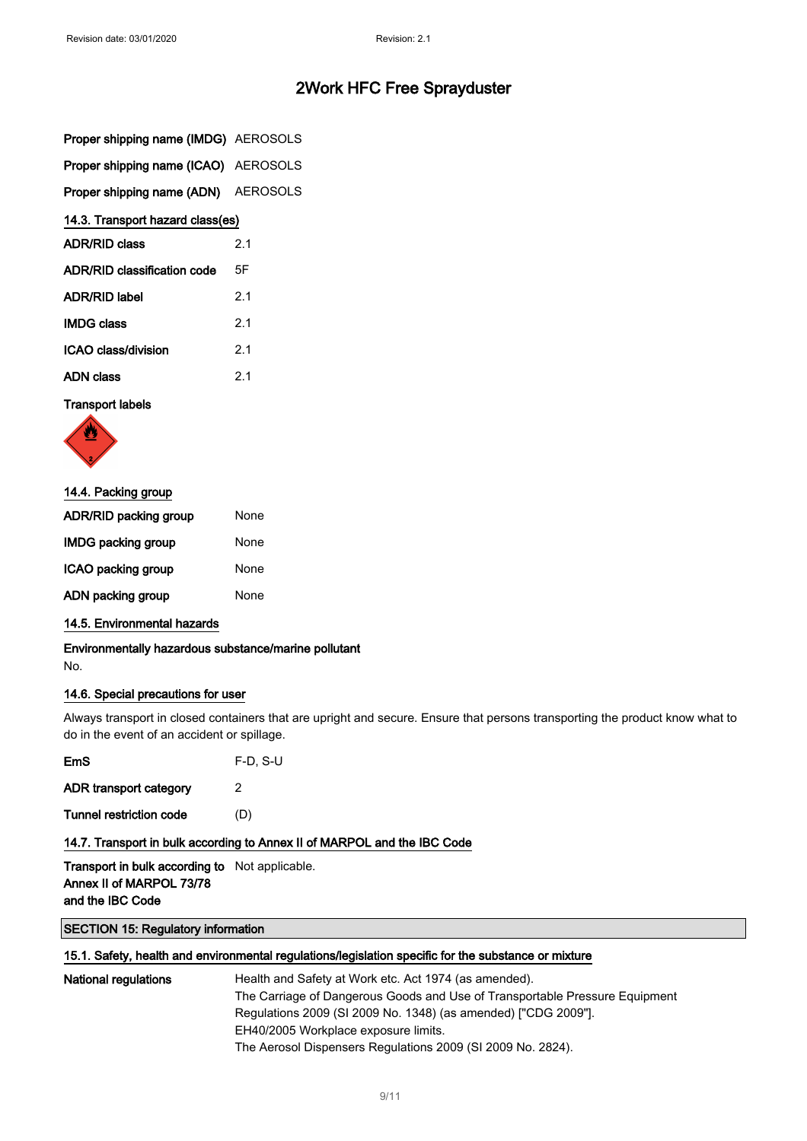|  |  | Proper shipping name (IMDG) AEROSOLS |
|--|--|--------------------------------------|
|  |  |                                      |

Proper shipping name (ICAO) AEROSOLS

Proper shipping name (ADN) AEROSOLS

## 14.3. Transport hazard class(es)

| <b>ADR/RID class</b>        | 21  |
|-----------------------------|-----|
| ADR/RID classification code | 5F  |
| <b>ADR/RID label</b>        | 2.1 |
| <b>IMDG class</b>           | 2.1 |
| ICAO class/division         | 2.1 |
| <b>ADN class</b>            | 21  |

#### Transport labels



| 14.4. Packing group |  |  |
|---------------------|--|--|
| None                |  |  |
| None                |  |  |
| None                |  |  |
| None                |  |  |
|                     |  |  |

## 14.5. Environmental hazards

Environmentally hazardous substance/marine pollutant No.

## 14.6. Special precautions for user

Always transport in closed containers that are upright and secure. Ensure that persons transporting the product know what to do in the event of an accident or spillage.

| EmS                            | $F-D. S-U$ |
|--------------------------------|------------|
| ADR transport category         | 2          |
| <b>Tunnel restriction code</b> | (D)        |

## 14.7. Transport in bulk according to Annex II of MARPOL and the IBC Code

Transport in bulk according to Not applicable. Annex II of MARPOL 73/78 and the IBC Code

## SECTION 15: Regulatory information

## 15.1. Safety, health and environmental regulations/legislation specific for the substance or mixture

| <b>National regulations</b> | Health and Safety at Work etc. Act 1974 (as amended).                       |
|-----------------------------|-----------------------------------------------------------------------------|
|                             | The Carriage of Dangerous Goods and Use of Transportable Pressure Equipment |
|                             | Regulations 2009 (SI 2009 No. 1348) (as amended) ["CDG 2009"].              |
|                             | EH40/2005 Workplace exposure limits.                                        |
|                             | The Aerosol Dispensers Regulations 2009 (SI 2009 No. 2824).                 |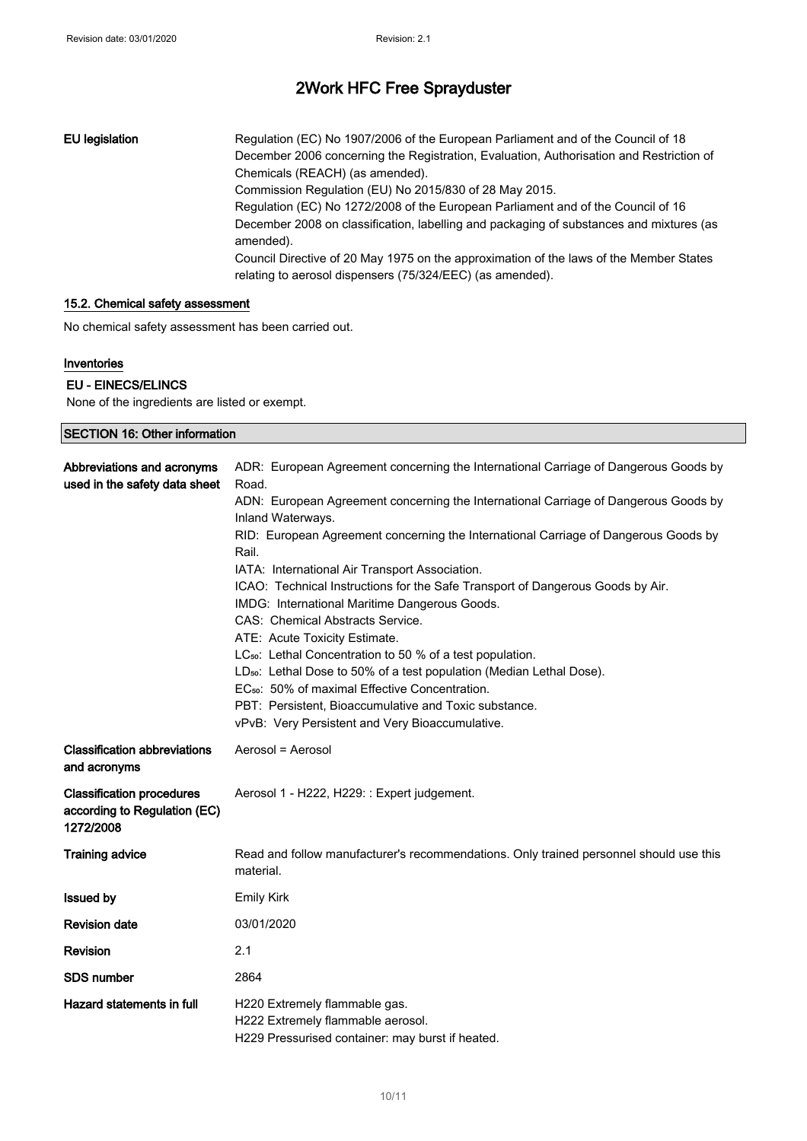EU legislation Regulation (EC) No 1907/2006 of the European Parliament and of the Council of 18 December 2006 concerning the Registration, Evaluation, Authorisation and Restriction of Chemicals (REACH) (as amended). Commission Regulation (EU) No 2015/830 of 28 May 2015. Regulation (EC) No 1272/2008 of the European Parliament and of the Council of 16 December 2008 on classification, labelling and packaging of substances and mixtures (as amended). Council Directive of 20 May 1975 on the approximation of the laws of the Member States relating to aerosol dispensers (75/324/EEC) (as amended).

## 15.2. Chemical safety assessment

No chemical safety assessment has been carried out.

#### Inventories

#### EU - EINECS/ELINCS

None of the ingredients are listed or exempt.

| <b>SECTION 16: Other information</b>                                          |                                                                                                                                                                                                                                                                                                                                                                                                                                                                                                                                                                                                                                                                                                                                                                                                                                                                                                           |  |
|-------------------------------------------------------------------------------|-----------------------------------------------------------------------------------------------------------------------------------------------------------------------------------------------------------------------------------------------------------------------------------------------------------------------------------------------------------------------------------------------------------------------------------------------------------------------------------------------------------------------------------------------------------------------------------------------------------------------------------------------------------------------------------------------------------------------------------------------------------------------------------------------------------------------------------------------------------------------------------------------------------|--|
| Abbreviations and acronyms<br>used in the safety data sheet                   | ADR: European Agreement concerning the International Carriage of Dangerous Goods by<br>Road.<br>ADN: European Agreement concerning the International Carriage of Dangerous Goods by<br>Inland Waterways.<br>RID: European Agreement concerning the International Carriage of Dangerous Goods by<br>Rail.<br>IATA: International Air Transport Association.<br>ICAO: Technical Instructions for the Safe Transport of Dangerous Goods by Air.<br>IMDG: International Maritime Dangerous Goods.<br>CAS: Chemical Abstracts Service.<br>ATE: Acute Toxicity Estimate.<br>LC <sub>50</sub> : Lethal Concentration to 50 % of a test population.<br>LD <sub>50</sub> : Lethal Dose to 50% of a test population (Median Lethal Dose).<br>EC <sub>50</sub> : 50% of maximal Effective Concentration.<br>PBT: Persistent, Bioaccumulative and Toxic substance.<br>vPvB: Very Persistent and Very Bioaccumulative. |  |
| <b>Classification abbreviations</b><br>and acronyms                           | Aerosol = Aerosol                                                                                                                                                                                                                                                                                                                                                                                                                                                                                                                                                                                                                                                                                                                                                                                                                                                                                         |  |
| <b>Classification procedures</b><br>according to Regulation (EC)<br>1272/2008 | Aerosol 1 - H222, H229: : Expert judgement.                                                                                                                                                                                                                                                                                                                                                                                                                                                                                                                                                                                                                                                                                                                                                                                                                                                               |  |
| <b>Training advice</b>                                                        | Read and follow manufacturer's recommendations. Only trained personnel should use this<br>material.                                                                                                                                                                                                                                                                                                                                                                                                                                                                                                                                                                                                                                                                                                                                                                                                       |  |
| <b>Issued by</b>                                                              | <b>Emily Kirk</b>                                                                                                                                                                                                                                                                                                                                                                                                                                                                                                                                                                                                                                                                                                                                                                                                                                                                                         |  |
| <b>Revision date</b>                                                          | 03/01/2020                                                                                                                                                                                                                                                                                                                                                                                                                                                                                                                                                                                                                                                                                                                                                                                                                                                                                                |  |
| Revision                                                                      | 2.1                                                                                                                                                                                                                                                                                                                                                                                                                                                                                                                                                                                                                                                                                                                                                                                                                                                                                                       |  |
| <b>SDS number</b>                                                             | 2864                                                                                                                                                                                                                                                                                                                                                                                                                                                                                                                                                                                                                                                                                                                                                                                                                                                                                                      |  |
| Hazard statements in full                                                     | H220 Extremely flammable gas.<br>H222 Extremely flammable aerosol.<br>H229 Pressurised container: may burst if heated.                                                                                                                                                                                                                                                                                                                                                                                                                                                                                                                                                                                                                                                                                                                                                                                    |  |